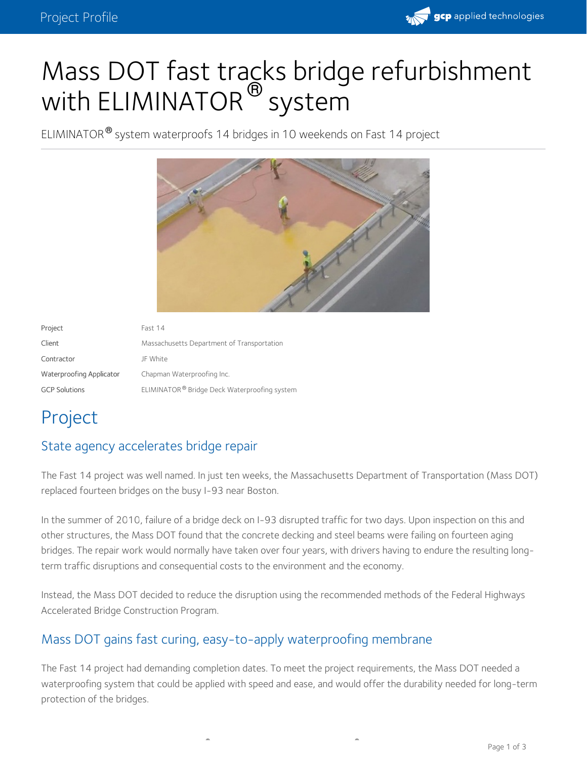

# Mass DOT fast tracks bridge refurbishment with ELIMINATOR  $^\circledR$  system

ELIMINATOR<sup>®</sup> system waterproofs 14 bridges in 10 weekends on Fast 14 project



| Project                  | Fast 14                                      |
|--------------------------|----------------------------------------------|
| Client                   | Massachusetts Department of Transportation   |
| Contractor               | JF White                                     |
| Waterproofing Applicator | Chapman Waterproofing Inc.                   |
| <b>GCP Solutions</b>     | ELIMINATOR® Bridge Deck Waterproofing system |

## Project

#### State agency accelerates bridge repair

The Fast 14 project was well named. In just ten weeks, the Massachusetts Department of Transportation (Mass DOT) replaced fourteen bridges on the busy I-93 near Boston.

In the summer of 2010, failure of a bridge deck on I-93 disrupted traffic for two days. Upon inspection on this and other structures, the Mass DOT found that the concrete decking and steel beams were failing on fourteen aging bridges. The repair work would normally have taken over four years, with drivers having to endure the resulting longterm traffic disruptions and consequential costs to the environment and the economy.

Instead, the Mass DOT decided to reduce the disruption using the recommended methods of the Federal Highways Accelerated Bridge Construction Program.

#### Mass DOT gains fast curing, easy-to-apply waterproofing membrane

The Fast 14 project had demanding completion dates. To meet the project requirements, the Mass DOT needed a waterproofing system that could be applied with speed and ease, and would offer the durability needed for long-term protection of the bridges.

**® ®**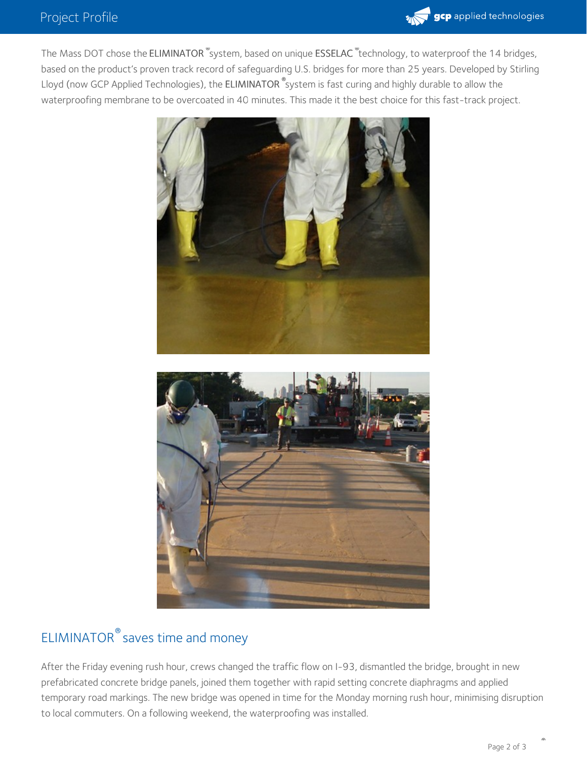

The Mass DOT chose the ELIMINATOR <sup>""</sup>system, based on unique ESSELAC <sup>""</sup>technology, to waterproof the 14 bridges, based on the product's proven track record of safeguarding U.S. bridges for more than 25 years. Developed by Stirling Lloyd (now GCP Applied Technologies), the **ELIMINATOR**  $^\circ$ system is fast curing and highly durable to allow the waterproofing membrane to be overcoated in 40 minutes. This made it the best choice for this fast-track project.



### ELIMINATOR<sup>®</sup> saves time and money

After the Friday evening rush hour, crews changed the traffic flow on I-93, dismantled the bridge, brought in new prefabricated concrete bridge panels, joined them together with rapid setting concrete diaphragms and applied temporary road markings. The new bridge was opened in time for the Monday morning rush hour, minimising disruption to local commuters. On a following weekend, the waterproofing was installed.

**®**